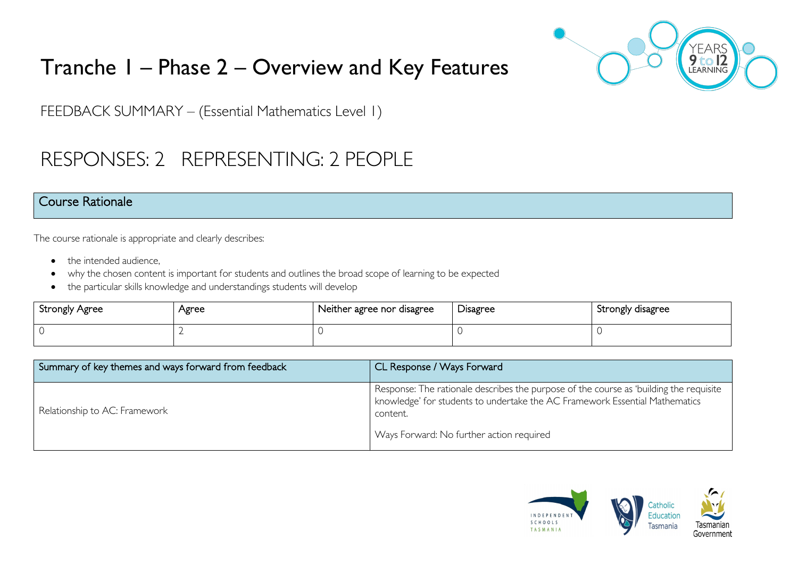# Tranche 1 – Phase 2 – Overview and Key Features



FEEDBACK SUMMARY – (Essential Mathematics Level 1)

## RESPONSES: 2 REPRESENTING: 2 PEOPLE

#### Course Rationale

The course rationale is appropriate and clearly describes:

- the intended audience.
- why the chosen content is important for students and outlines the broad scope of learning to be expected
- the particular skills knowledge and understandings students will develop

| Strongly Agree | Agree | Neither agree nor disagree | Disagree | Strongly disagree |
|----------------|-------|----------------------------|----------|-------------------|
| $\cap$         |       |                            |          |                   |

| Summary of key themes and ways forward from feedback | CL Response / Ways Forward                                                                                                                                                        |
|------------------------------------------------------|-----------------------------------------------------------------------------------------------------------------------------------------------------------------------------------|
| Relationship to AC: Framework                        | Response: The rationale describes the purpose of the course as 'building the requisite<br>knowledge' for students to undertake the AC Framework Essential Mathematics<br>content. |
|                                                      | Ways Forward: No further action required                                                                                                                                          |

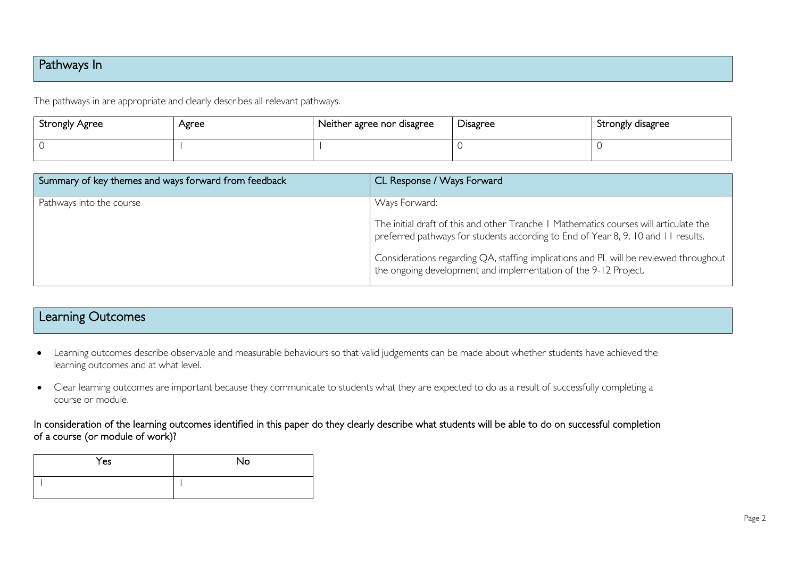### Pathways In

The pathways in are appropriate and clearly describes all relevant pathways.

| <b>Strongly Agree</b> | Agree | Neither agree nor disagree | <b>Disagree</b> | Strongly disagree |
|-----------------------|-------|----------------------------|-----------------|-------------------|
|                       |       |                            |                 |                   |

| Summary of key themes and ways forward from feedback | CL Response / Ways Forward                                                                                                                                                 |
|------------------------------------------------------|----------------------------------------------------------------------------------------------------------------------------------------------------------------------------|
| Pathways into the course                             | Ways Forward:                                                                                                                                                              |
|                                                      | The initial draft of this and other Tranche   Mathematics courses will articulate the<br>preferred pathways for students according to End of Year 8, 9, 10 and 11 results. |
|                                                      | Considerations regarding QA, staffing implications and PL will be reviewed throughout  <br>the ongoing development and implementation of the 9-12 Project.                 |

## Learning Outcomes

- Learning outcomes describe observable and measurable behaviours so that valid judgements can be made about whether students have achieved the learning outcomes and at what level.
- Clear learning outcomes are important because they communicate to students what they are expected to do as a result of successfully completing a course or module.

In consideration of the learning outcomes identified in this paper do they clearly describe what students will be able to do on successful completion of a course (or module of work)?

| Yes | No |
|-----|----|
|     |    |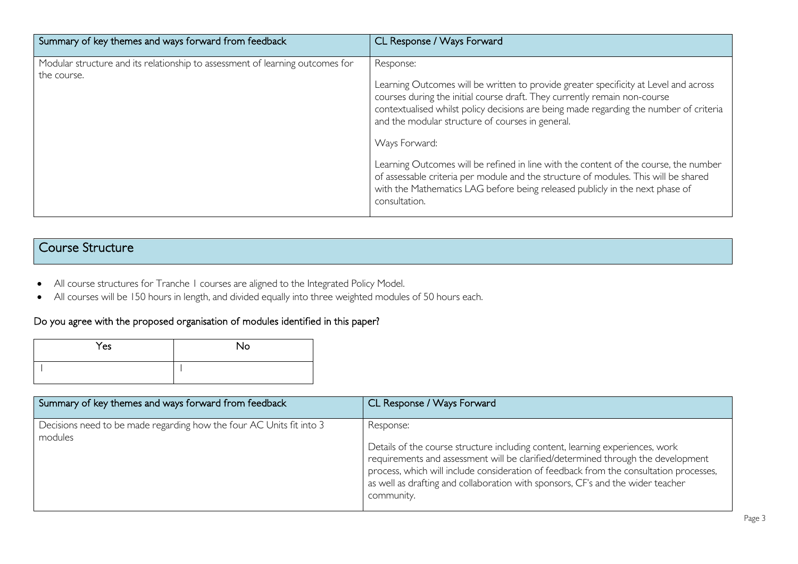| Summary of key themes and ways forward from feedback                                         | CL Response / Ways Forward                                                                                                                                                                                                                                                                                                                                                                                                                                                                                                                                                                                                    |
|----------------------------------------------------------------------------------------------|-------------------------------------------------------------------------------------------------------------------------------------------------------------------------------------------------------------------------------------------------------------------------------------------------------------------------------------------------------------------------------------------------------------------------------------------------------------------------------------------------------------------------------------------------------------------------------------------------------------------------------|
| Modular structure and its relationship to assessment of learning outcomes for<br>the course. | Response:<br>Learning Outcomes will be written to provide greater specificity at Level and across<br>courses during the initial course draft. They currently remain non-course<br>contextualised whilst policy decisions are being made regarding the number of criteria<br>and the modular structure of courses in general.<br>Ways Forward:<br>Learning Outcomes will be refined in line with the content of the course, the number<br>of assessable criteria per module and the structure of modules. This will be shared<br>with the Mathematics LAG before being released publicly in the next phase of<br>consultation. |

## Course Structure

- All course structures for Tranche 1 courses are aligned to the Integrated Policy Model.
- All courses will be 150 hours in length, and divided equally into three weighted modules of 50 hours each.

### Do you agree with the proposed organisation of modules identified in this paper?

| Yes | No |
|-----|----|
|     |    |

| Summary of key themes and ways forward from feedback                            | CL Response / Ways Forward                                                                                                                                                                                                                                                                                                                                                |
|---------------------------------------------------------------------------------|---------------------------------------------------------------------------------------------------------------------------------------------------------------------------------------------------------------------------------------------------------------------------------------------------------------------------------------------------------------------------|
| Decisions need to be made regarding how the four AC Units fit into 3<br>modules | Response:<br>Details of the course structure including content, learning experiences, work<br>requirements and assessment will be clarified/determined through the development<br>process, which will include consideration of feedback from the consultation processes,<br>as well as drafting and collaboration with sponsors, CF's and the wider teacher<br>community. |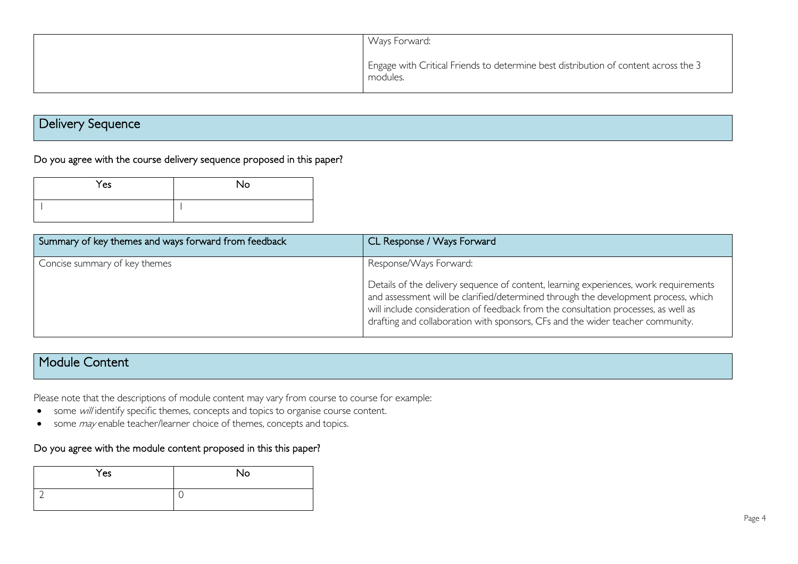| Ways Forward:                                                                                   |
|-------------------------------------------------------------------------------------------------|
| Engage with Critical Friends to determine best distribution of content across the 3<br>modules. |

## Delivery Sequence

#### Do you agree with the course delivery sequence proposed in this paper?

| Yes | No. |
|-----|-----|
|     |     |

| Summary of key themes and ways forward from feedback | CL Response / Ways Forward                                                                                                                                                                                                                                                                                                                                                   |
|------------------------------------------------------|------------------------------------------------------------------------------------------------------------------------------------------------------------------------------------------------------------------------------------------------------------------------------------------------------------------------------------------------------------------------------|
| Concise summary of key themes                        | Response/Ways Forward:<br>Details of the delivery sequence of content, learning experiences, work requirements<br>and assessment will be clarified/determined through the development process, which<br>will include consideration of feedback from the consultation processes, as well as<br>drafting and collaboration with sponsors, CFs and the wider teacher community. |

#### Module Content

Please note that the descriptions of module content may vary from course to course for example:

- some will identify specific themes, concepts and topics to organise course content.
- some *may* enable teacher/learner choice of themes, concepts and topics.

#### Do you agree with the module content proposed in this this paper?

| Yes | No |
|-----|----|
|     | ◡  |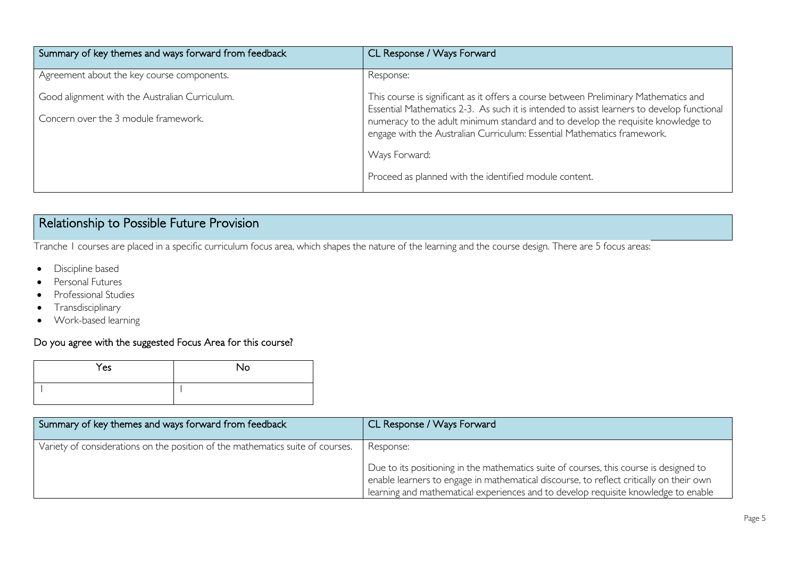| Summary of key themes and ways forward from feedback | CL Response / Ways Forward                                                                                                                                                         |
|------------------------------------------------------|------------------------------------------------------------------------------------------------------------------------------------------------------------------------------------|
| Agreement about the key course components.           | Response:                                                                                                                                                                          |
| Good alignment with the Australian Curriculum.       | This course is significant as it offers a course between Preliminary Mathematics and<br>Essential Mathematics 2-3. As such it is intended to assist learners to develop functional |
| Concern over the 3 module framework.                 | numeracy to the adult minimum standard and to develop the requisite knowledge to<br>engage with the Australian Curriculum: Essential Mathematics framework.                        |
|                                                      | Ways Forward:                                                                                                                                                                      |
|                                                      | Proceed as planned with the identified module content.                                                                                                                             |

## Relationship to Possible Future Provision

Tranche 1 courses are placed in a specific curriculum focus area, which shapes the nature of the learning and the course design. There are 5 focus areas:

- Discipline based
- Personal Futures
- Professional Studies
- Transdisciplinary
- Work-based learning

#### Do you agree with the suggested Focus Area for this course?

| Yes | <b>No</b> |
|-----|-----------|
|     |           |

| Summary of key themes and ways forward from feedback                           | CL Response / Ways Forward                                                                                                                                                                                                                                                           |
|--------------------------------------------------------------------------------|--------------------------------------------------------------------------------------------------------------------------------------------------------------------------------------------------------------------------------------------------------------------------------------|
| Variety of considerations on the position of the mathematics suite of courses. | Response:                                                                                                                                                                                                                                                                            |
|                                                                                | Due to its positioning in the mathematics suite of courses, this course is designed to<br><sup>1</sup> enable learners to engage in mathematical discourse, to reflect critically on their own<br>learning and mathematical experiences and to develop requisite knowledge to enable |